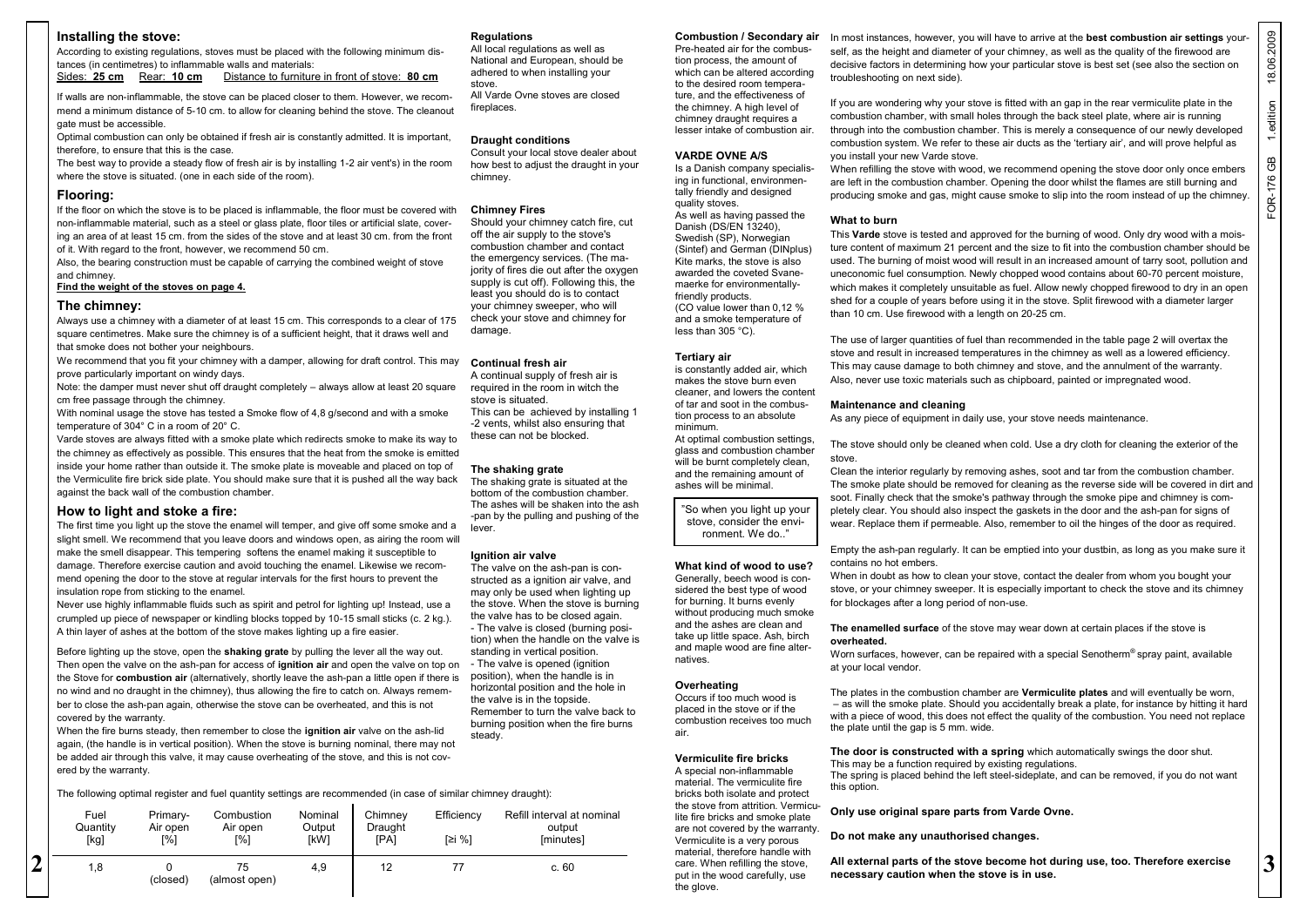### **Installing the stove:**

#### **Flooring:**

### **Find the weight of the stoves on page 4.**

#### **The chimney:**

#### **How to light and stoke a fire:**

# The following optimal register and fuel quantity settings are recommended (in case of similar chimney draught):

|                                                                                                                                                                                                                                             | Installing the stove:                                                                                                                                                                                                                                                                                                                                                                                                      |                                       | <b>Regulations</b>                                                        | <b>Combustion / Secondary air</b>                                                             | In most instances, however, you will have to arrive at the <b>best combustion air settings</b> your-                                                                                                |                       |
|---------------------------------------------------------------------------------------------------------------------------------------------------------------------------------------------------------------------------------------------|----------------------------------------------------------------------------------------------------------------------------------------------------------------------------------------------------------------------------------------------------------------------------------------------------------------------------------------------------------------------------------------------------------------------------|---------------------------------------|---------------------------------------------------------------------------|-----------------------------------------------------------------------------------------------|-----------------------------------------------------------------------------------------------------------------------------------------------------------------------------------------------------|-----------------------|
|                                                                                                                                                                                                                                             | According to existing regulations, stoves must be placed with the following minimum dis-<br>tances (in centimetres) to inflammable walls and materials:                                                                                                                                                                                                                                                                    |                                       | All local regulations as well as<br>National and European, should be      | Pre-heated air for the combus-<br>tion process, the amount of                                 | self, as the height and diameter of your chimney, as well as the quality of the firewood are                                                                                                        | 18.06.2009            |
|                                                                                                                                                                                                                                             |                                                                                                                                                                                                                                                                                                                                                                                                                            |                                       | adhered to when installing your                                           | which can be altered according                                                                | decisive factors in determining how your particular stove is best set (see also the section on                                                                                                      |                       |
|                                                                                                                                                                                                                                             | Sides: 25 cm<br>Rear: <b>10 cm</b><br>Distance to furniture in front of stove: 80 cm                                                                                                                                                                                                                                                                                                                                       |                                       | stove.                                                                    | to the desired room tempera-                                                                  | troubleshooting on next side).                                                                                                                                                                      |                       |
|                                                                                                                                                                                                                                             | If walls are non-inflammable, the stove can be placed closer to them. However, we recom-                                                                                                                                                                                                                                                                                                                                   |                                       | All Varde Ovne stoves are closed                                          | ture, and the effectiveness of                                                                |                                                                                                                                                                                                     |                       |
|                                                                                                                                                                                                                                             | mend a minimum distance of 5-10 cm. to allow for cleaning behind the stove. The cleanout                                                                                                                                                                                                                                                                                                                                   |                                       | fireplaces.                                                               | the chimney. A high level of                                                                  | If you are wondering why your stove is fitted with an gap in the rear vermiculite plate in the<br>combustion chamber, with small holes through the back steel plate, where air is running           | 1.edition             |
|                                                                                                                                                                                                                                             | gate must be accessible.                                                                                                                                                                                                                                                                                                                                                                                                   |                                       |                                                                           | chimney draught requires a<br>lesser intake of combustion air.                                | through into the combustion chamber. This is merely a consequence of our newly developed                                                                                                            |                       |
|                                                                                                                                                                                                                                             | Optimal combustion can only be obtained if fresh air is constantly admitted. It is important,                                                                                                                                                                                                                                                                                                                              |                                       | <b>Draught conditions</b>                                                 |                                                                                               | combustion system. We refer to these air ducts as the 'tertiary air', and will prove helpful as                                                                                                     |                       |
|                                                                                                                                                                                                                                             | therefore, to ensure that this is the case.                                                                                                                                                                                                                                                                                                                                                                                |                                       | Consult your local stove dealer about                                     | <b>VARDE OVNE A/S</b>                                                                         | you install your new Varde stove.                                                                                                                                                                   |                       |
|                                                                                                                                                                                                                                             | The best way to provide a steady flow of fresh air is by installing 1-2 air vent's) in the room                                                                                                                                                                                                                                                                                                                            |                                       | how best to adjust the draught in your                                    | Is a Danish company specialis-                                                                | When refilling the stove with wood, we recommend opening the stove door only once embers                                                                                                            | $\mathop{\mathsf{G}}$ |
|                                                                                                                                                                                                                                             | where the stove is situated. (one in each side of the room).                                                                                                                                                                                                                                                                                                                                                               |                                       | chimney.                                                                  | ing in functional, environmen-                                                                | are left in the combustion chamber. Opening the door whilst the flames are still burning and                                                                                                        |                       |
|                                                                                                                                                                                                                                             | Flooring:                                                                                                                                                                                                                                                                                                                                                                                                                  |                                       |                                                                           | tally friendly and designed                                                                   | producing smoke and gas, might cause smoke to slip into the room instead of up the chimney.                                                                                                         | FOR-176               |
|                                                                                                                                                                                                                                             | If the floor on which the stove is to be placed is inflammable, the floor must be covered with                                                                                                                                                                                                                                                                                                                             |                                       | <b>Chimney Fires</b>                                                      | quality stoves.<br>As well as having passed the                                               |                                                                                                                                                                                                     |                       |
|                                                                                                                                                                                                                                             | non-inflammable material, such as a steel or glass plate, floor tiles or artificial slate, cover-<br>ing an area of at least 15 cm. from the sides of the stove and at least 30 cm. from the front<br>of it. With regard to the front, however, we recommend 50 cm.<br>Also, the bearing construction must be capable of carrying the combined weight of stove<br>and chimney.<br>Find the weight of the stoves on page 4. |                                       | Should your chimney catch fire, cut                                       | Danish (DS/EN 13240),                                                                         | What to burn                                                                                                                                                                                        |                       |
|                                                                                                                                                                                                                                             |                                                                                                                                                                                                                                                                                                                                                                                                                            |                                       | off the air supply to the stove's<br>combustion chamber and contact       | Swedish (SP), Norwegian                                                                       | This Varde stove is tested and approved for the burning of wood. Only dry wood with a mois-                                                                                                         |                       |
|                                                                                                                                                                                                                                             |                                                                                                                                                                                                                                                                                                                                                                                                                            |                                       | the emergency services. (The ma-                                          | (Sintef) and German (DINplus)                                                                 | ture content of maximum 21 percent and the size to fit into the combustion chamber should be                                                                                                        |                       |
|                                                                                                                                                                                                                                             |                                                                                                                                                                                                                                                                                                                                                                                                                            |                                       | jority of fires die out after the oxygen                                  | Kite marks, the stove is also<br>awarded the coveted Svane-                                   | used. The burning of moist wood will result in an increased amount of tarry soot, pollution and<br>uneconomic fuel consumption. Newly chopped wood contains about 60-70 percent moisture,           |                       |
|                                                                                                                                                                                                                                             |                                                                                                                                                                                                                                                                                                                                                                                                                            |                                       | supply is cut off). Following this, the                                   | maerke for environmentally-                                                                   | which makes it completely unsuitable as fuel. Allow newly chopped firewood to dry in an open                                                                                                        |                       |
|                                                                                                                                                                                                                                             |                                                                                                                                                                                                                                                                                                                                                                                                                            |                                       | least you should do is to contact                                         | friendly products.                                                                            | shed for a couple of years before using it in the stove. Split firewood with a diameter larger                                                                                                      |                       |
|                                                                                                                                                                                                                                             | The chimney:                                                                                                                                                                                                                                                                                                                                                                                                               |                                       | your chimney sweeper, who will<br>check your stove and chimney for        | (CO value lower than 0,12 %)                                                                  | than 10 cm. Use firewood with a length on 20-25 cm.                                                                                                                                                 |                       |
|                                                                                                                                                                                                                                             | Always use a chimney with a diameter of at least 15 cm. This corresponds to a clear of 175<br>square centimetres. Make sure the chimney is of a sufficient height, that it draws well and<br>that smoke does not bother your neighbours.<br>We recommend that you fit your chimney with a damper, allowing for draft control. This may                                                                                     |                                       | damage.                                                                   | and a smoke temperature of<br>less than $305^{\circ}$ C).                                     |                                                                                                                                                                                                     |                       |
|                                                                                                                                                                                                                                             |                                                                                                                                                                                                                                                                                                                                                                                                                            |                                       |                                                                           |                                                                                               | The use of larger quantities of fuel than recommended in the table page 2 will overtax the                                                                                                          |                       |
|                                                                                                                                                                                                                                             |                                                                                                                                                                                                                                                                                                                                                                                                                            |                                       |                                                                           | <b>Tertiary air</b>                                                                           | stove and result in increased temperatures in the chimney as well as a lowered efficiency.                                                                                                          |                       |
|                                                                                                                                                                                                                                             | prove particularly important on windy days.                                                                                                                                                                                                                                                                                                                                                                                |                                       | Continual fresh air<br>A continual supply of fresh air is                 | is constantly added air, which                                                                | This may cause damage to both chimney and stove, and the annulment of the warranty.                                                                                                                 |                       |
|                                                                                                                                                                                                                                             | Note: the damper must never shut off draught completely - always allow at least 20 square                                                                                                                                                                                                                                                                                                                                  |                                       | required in the room in witch the                                         | makes the stove burn even<br>cleaner, and lowers the content                                  | Also, never use toxic materials such as chipboard, painted or impregnated wood.                                                                                                                     |                       |
|                                                                                                                                                                                                                                             | cm free passage through the chimney.                                                                                                                                                                                                                                                                                                                                                                                       |                                       | stove is situated.                                                        | of tar and soot in the combus-                                                                | <b>Maintenance and cleaning</b>                                                                                                                                                                     |                       |
|                                                                                                                                                                                                                                             | With nominal usage the stove has tested a Smoke flow of 4,8 g/second and with a smoke                                                                                                                                                                                                                                                                                                                                      |                                       | This can be achieved by installing 1                                      | tion process to an absolute                                                                   | As any piece of equipment in daily use, your stove needs maintenance.                                                                                                                               |                       |
|                                                                                                                                                                                                                                             | temperature of 304° C in a room of 20° C.<br>Varde stoves are always fitted with a smoke plate which redirects smoke to make its way to<br>the chimney as effectively as possible. This ensures that the heat from the smoke is emitted<br>inside your home rather than outside it. The smoke plate is moveable and placed on top of                                                                                       |                                       | -2 vents, whilst also ensuring that<br>these can not be blocked.          | minimum.                                                                                      |                                                                                                                                                                                                     |                       |
|                                                                                                                                                                                                                                             |                                                                                                                                                                                                                                                                                                                                                                                                                            |                                       |                                                                           | At optimal combustion settings,<br>glass and combustion chamber                               | The stove should only be cleaned when cold. Use a dry cloth for cleaning the exterior of the                                                                                                        |                       |
|                                                                                                                                                                                                                                             |                                                                                                                                                                                                                                                                                                                                                                                                                            |                                       |                                                                           | will be burnt completely clean,                                                               | stove.                                                                                                                                                                                              |                       |
| the Vermiculite fire brick side plate. You should make sure that it is pushed all the way back                                                                                                                                              |                                                                                                                                                                                                                                                                                                                                                                                                                            | The shaking grate                     | and the remaining amount of                                               | Clean the interior regularly by removing ashes, soot and tar from the combustion chamber.     |                                                                                                                                                                                                     |                       |
|                                                                                                                                                                                                                                             | against the back wall of the combustion chamber.                                                                                                                                                                                                                                                                                                                                                                           |                                       | The shaking grate is situated at the<br>bottom of the combustion chamber. | ashes will be minimal.                                                                        | The smoke plate should be removed for cleaning as the reverse side will be covered in dirt and                                                                                                      |                       |
|                                                                                                                                                                                                                                             |                                                                                                                                                                                                                                                                                                                                                                                                                            |                                       | The ashes will be shaken into the ash                                     | "So when you light up your                                                                    | soot. Finally check that the smoke's pathway through the smoke pipe and chimney is com-                                                                                                             |                       |
|                                                                                                                                                                                                                                             | How to light and stoke a fire:<br>The first time you light up the stove the enamel will temper, and give off some smoke and a<br>slight smell. We recommend that you leave doors and windows open, as airing the room will<br>make the smell disappear. This tempering softens the enamel making it susceptible to<br>damage. Therefore exercise caution and avoid touching the enamel. Likewise we recom-                 |                                       | -pan by the pulling and pushing of the                                    | stove, consider the envi-                                                                     | pletely clear. You should also inspect the gaskets in the door and the ash-pan for signs of<br>wear. Replace them if permeable. Also, remember to oil the hinges of the door as required.           |                       |
|                                                                                                                                                                                                                                             |                                                                                                                                                                                                                                                                                                                                                                                                                            |                                       | lever.                                                                    | ronment. We do"                                                                               |                                                                                                                                                                                                     |                       |
|                                                                                                                                                                                                                                             |                                                                                                                                                                                                                                                                                                                                                                                                                            |                                       | Ignition air valve                                                        |                                                                                               | Empty the ash-pan regularly. It can be emptied into your dustbin, as long as you make sure it                                                                                                       |                       |
|                                                                                                                                                                                                                                             |                                                                                                                                                                                                                                                                                                                                                                                                                            |                                       | The valve on the ash-pan is con-                                          | What kind of wood to use?                                                                     | contains no hot embers.                                                                                                                                                                             |                       |
| mend opening the door to the stove at regular intervals for the first hours to prevent the<br>insulation rope from sticking to the enamel.<br>Never use highly inflammable fluids such as spirit and petrol for lighting up! Instead, use a |                                                                                                                                                                                                                                                                                                                                                                                                                            | structed as a ignition air valve, and | Generally, beech wood is con-                                             | When in doubt as how to clean your stove, contact the dealer from whom you bought your        |                                                                                                                                                                                                     |                       |
|                                                                                                                                                                                                                                             |                                                                                                                                                                                                                                                                                                                                                                                                                            | may only be used when lighting up     | sidered the best type of wood                                             | stove, or your chimney sweeper. It is especially important to check the stove and its chimney |                                                                                                                                                                                                     |                       |
|                                                                                                                                                                                                                                             |                                                                                                                                                                                                                                                                                                                                                                                                                            | the stove. When the stove is burning  | for burning. It burns evenly<br>without producing much smoke              | for blockages after a long period of non-use.                                                 |                                                                                                                                                                                                     |                       |
|                                                                                                                                                                                                                                             | crumpled up piece of newspaper or kindling blocks topped by 10-15 small sticks (c. 2 kg.).                                                                                                                                                                                                                                                                                                                                 |                                       | the valve has to be closed again.<br>- The valve is closed (burning posi- | and the ashes are clean and                                                                   | The enamelled surface of the stove may wear down at certain places if the stove is                                                                                                                  |                       |
| A thin layer of ashes at the bottom of the stove makes lighting up a fire easier.                                                                                                                                                           |                                                                                                                                                                                                                                                                                                                                                                                                                            | tion) when the handle on the valve is | take up little space. Ash, birch                                          | overheated.                                                                                   |                                                                                                                                                                                                     |                       |
|                                                                                                                                                                                                                                             | Before lighting up the stove, open the shaking grate by pulling the lever all the way out.                                                                                                                                                                                                                                                                                                                                 |                                       | standing in vertical position.                                            | and maple wood are fine alter-                                                                | Worn surfaces, however, can be repaired with a special Senotherm <sup>®</sup> spray paint, available                                                                                                |                       |
|                                                                                                                                                                                                                                             | Then open the valve on the ash-pan for access of <b>ignition air</b> and open the valve on top on<br>the Stove for <b>combustion air</b> (alternatively, shortly leave the ash-pan a little open if there is                                                                                                                                                                                                               |                                       | - The valve is opened (ignition                                           | natives.                                                                                      | at your local vendor.                                                                                                                                                                               |                       |
|                                                                                                                                                                                                                                             |                                                                                                                                                                                                                                                                                                                                                                                                                            |                                       | position), when the handle is in<br>horizontal position and the hole in   | Overheating                                                                                   |                                                                                                                                                                                                     |                       |
|                                                                                                                                                                                                                                             | no wind and no draught in the chimney), thus allowing the fire to catch on. Always remem-                                                                                                                                                                                                                                                                                                                                  |                                       | the valve is in the topside.                                              | Occurs if too much wood is                                                                    | The plates in the combustion chamber are <b>Vermiculite plates</b> and will eventually be worn,                                                                                                     |                       |
|                                                                                                                                                                                                                                             | ber to close the ash-pan again, otherwise the stove can be overheated, and this is not<br>covered by the warranty.                                                                                                                                                                                                                                                                                                         |                                       | Remember to turn the valve back to                                        | placed in the stove or if the                                                                 | - as will the smoke plate. Should you accidentally break a plate, for instance by hitting it hard<br>with a piece of wood, this does not effect the quality of the combustion. You need not replace |                       |
|                                                                                                                                                                                                                                             | When the fire burns steady, then remember to close the ignition air valve on the ash-lid                                                                                                                                                                                                                                                                                                                                   |                                       | burning position when the fire burns                                      | combustion receives too much                                                                  | the plate until the gap is 5 mm. wide.                                                                                                                                                              |                       |
| again, (the handle is in vertical position). When the stove is burning nominal, there may not                                                                                                                                               |                                                                                                                                                                                                                                                                                                                                                                                                                            |                                       | steady.                                                                   | air.                                                                                          |                                                                                                                                                                                                     |                       |
|                                                                                                                                                                                                                                             | be added air through this valve, it may cause overheating of the stove, and this is not cov-                                                                                                                                                                                                                                                                                                                               |                                       |                                                                           | Vermiculite fire bricks                                                                       | The door is constructed with a spring which automatically swings the door shut.                                                                                                                     |                       |
|                                                                                                                                                                                                                                             | ered by the warranty.                                                                                                                                                                                                                                                                                                                                                                                                      |                                       |                                                                           | A special non-inflammable                                                                     | This may be a function required by existing regulations.<br>The spring is placed behind the left steel-sideplate, and can be removed, if you do not want                                            |                       |
|                                                                                                                                                                                                                                             |                                                                                                                                                                                                                                                                                                                                                                                                                            |                                       |                                                                           | material. The vermiculite fire                                                                | this option.                                                                                                                                                                                        |                       |
|                                                                                                                                                                                                                                             | The following optimal register and fuel quantity settings are recommended (in case of similar chimney draught):                                                                                                                                                                                                                                                                                                            |                                       |                                                                           | bricks both isolate and protect<br>the stove from attrition. Vermicu-                         |                                                                                                                                                                                                     |                       |
|                                                                                                                                                                                                                                             | Fuel<br>Combustion<br>Nominal<br>Primary-                                                                                                                                                                                                                                                                                                                                                                                  | Chimney<br>Efficiency                 | Refill interval at nominal                                                | lite fire bricks and smoke plate                                                              | Only use original spare parts from Varde Ovne.                                                                                                                                                      |                       |
|                                                                                                                                                                                                                                             | Output<br>Quantity<br>Air open<br>Air open                                                                                                                                                                                                                                                                                                                                                                                 | Draught                               | output                                                                    | are not covered by the warranty.                                                              | Do not make any unauthorised changes.                                                                                                                                                               |                       |
|                                                                                                                                                                                                                                             | [kW]<br>[kg]<br>[%]<br>[%]                                                                                                                                                                                                                                                                                                                                                                                                 | [PA]<br>[≥i %]                        | [minutes]                                                                 | Vermiculite is a very porous<br>material, therefore handle with                               |                                                                                                                                                                                                     |                       |
| ำ                                                                                                                                                                                                                                           | 4,9<br>1,8<br>$\mathbf 0$<br>75                                                                                                                                                                                                                                                                                                                                                                                            | 12<br>77                              | c.60                                                                      | care. When refilling the stove,                                                               | All external parts of the stove become hot during use, too. Therefore exercise                                                                                                                      | $\mathbf{3}$          |
|                                                                                                                                                                                                                                             | (closed)<br>(almost open)                                                                                                                                                                                                                                                                                                                                                                                                  |                                       |                                                                           | put in the wood carefully, use                                                                | necessary caution when the stove is in use.                                                                                                                                                         |                       |
|                                                                                                                                                                                                                                             |                                                                                                                                                                                                                                                                                                                                                                                                                            |                                       |                                                                           | the glove.                                                                                    |                                                                                                                                                                                                     |                       |

#### **Regulations**

#### **Draught conditions**

#### **Chimney Fires**

#### **Continual fresh air**

#### **The shaking grate**

#### **Ignition air valve**

#### **VARDE OVNE A/S**

#### **Tertiary air**

#### **What kind of wood to use?** Generally, beech wood is con-

# **Overheating**

#### **Vermiculite fire bricks**

#### **What to burn**

#### **Maintenance and cleaning**

#### **Do not make any unauthorised changes.**